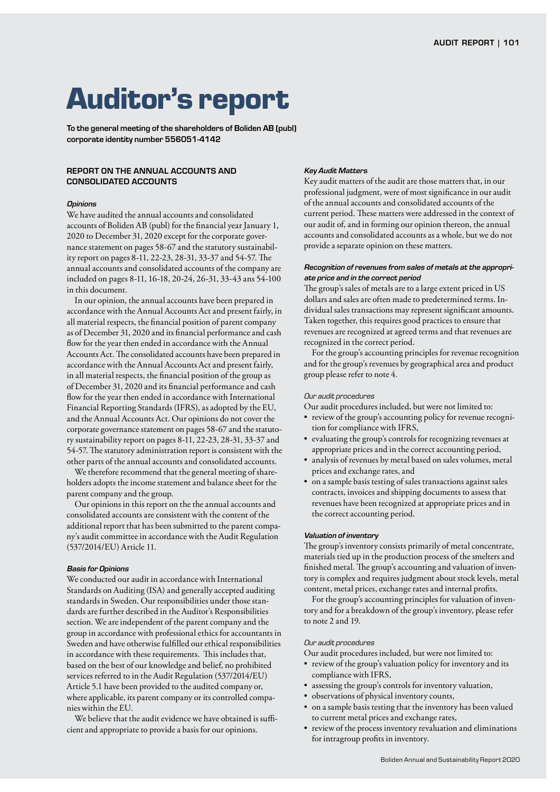# **Auditor's report**

To the general meeting of the shareholders of Boliden AB (publ) corporate identity number 556051-4142

# REPORT ON THE ANNUAL ACCOUNTS AND CONSOLIDATED ACCOUNTS

### *Opinions*

We have audited the annual accounts and consolidated accounts of Boliden AB (publ) for the financial year January 1, 2020 to December 31, 2020 except for the corporate governance statement on pages 58-67 and the statutory sustainability report on pages 8-11, 22-23, 28-31, 33-37 and 54-57. The annual accounts and consolidated accounts of the company are included on pages 8-11, 16-18, 20-24, 26-31, 33-43 ans 54-100 in this document.

In our opinion, the annual accounts have been prepared in accordance with the Annual Accounts Act and present fairly, in all material respects, the financial position of parent company as of December 31, 2020 and its financial performance and cash flow for the year then ended in accordance with the Annual Accounts Act. The consolidated accounts have been prepared in accordance with the Annual Accounts Act and present fairly, in all material respects, the financial position of the group as of December 31, 2020 and its financial performance and cash flow for the year then ended in accordance with International Financial Reporting Standards (IFRS), as adopted by the EU, and the Annual Accounts Act. Our opinions do not cover the corporate governance statement on pages 58-67 and the statutory sustainability report on pages 8-11, 22-23, 28-31, 33-37 and 54-57. The statutory administration report is consistent with the other parts of the annual accounts and consolidated accounts.

We therefore recommend that the general meeting of shareholders adopts the income statement and balance sheet for the parent company and the group.

Our opinions in this report on the the annual accounts and consolidated accounts are consistent with the content of the additional report that has been submitted to the parent company's audit committee in accordance with the Audit Regulation (537/2014/EU) Article 11.

#### *Basis for Opinions*

We conducted our audit in accordance with International Standards on Auditing (ISA) and generally accepted auditing standards in Sweden. Our responsibilities under those standards are further described in the Auditor's Responsibilities section. We are independent of the parent company and the group in accordance with professional ethics for accountants in Sweden and have otherwise fulfilled our ethical responsibilities in accordance with these requirements. This includes that, based on the best of our knowledge and belief, no prohibited services referred to in the Audit Regulation (537/2014/EU) Article 5.1 have been provided to the audited company or, where applicable, its parent company or its controlled companies within the EU.

We believe that the audit evidence we have obtained is sufficient and appropriate to provide a basis for our opinions.

#### *Key Audit Matters*

Key audit matters of the audit are those matters that, in our professional judgment, were of most significance in our audit of the annual accounts and consolidated accounts of the current period. These matters were addressed in the context of our audit of, and in forming our opinion thereon, the annual accounts and consolidated accounts as a whole, but we do not provide a separate opinion on these matters.

# *Recognition of revenues from sales of metals at the appropriate price and in the correct period*

The group's sales of metals are to a large extent priced in US dollars and sales are often made to predetermined terms. Individual sales transactions may represent significant amounts. Taken together, this requires good practices to ensure that revenues are recognized at agreed terms and that revenues are recognized in the correct period.

For the group's accounting principles for revenue recognition and for the group's revenues by geographical area and product group please refer to note 4.

# *Our audit procedures*

Our audit procedures included, but were not limited to:

- review of the group's accounting policy for revenue recognition for compliance with IFRS,
- evaluating the group's controls for recognizing revenues at appropriate prices and in the correct accounting period,
- analysis of revenues by metal based on sales volumes, metal prices and exchange rates, and
- on a sample basis testing of sales transactions against sales contracts, invoices and shipping documents to assess that revenues have been recognized at appropriate prices and in the correct accounting period.

#### *Valuation of inventory*

The group's inventory consists primarily of metal concentrate, materials tied up in the production process of the smelters and finished metal. The group's accounting and valuation of inventory is complex and requires judgment about stock levels, metal content, metal prices, exchange rates and internal profits.

For the group's accounting principles for valuation of inventory and for a breakdown of the group's inventory, please refer to note 2 and 19.

# *Our audit procedures*

Our audit procedures included, but were not limited to:

- review of the group's valuation policy for inventory and its compliance with IFRS,
- assessing the group's controls for inventory valuation,
- observations of physical inventory counts,
- on a sample basis testing that the inventory has been valued to current metal prices and exchange rates,
- review of the process inventory revaluation and eliminations for intragroup profits in inventory.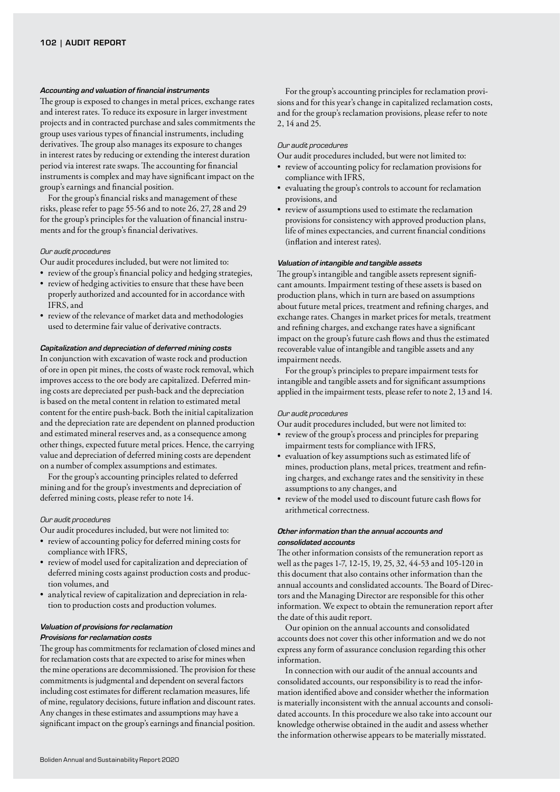#### *Accounting and valuation of financial instruments*

The group is exposed to changes in metal prices, exchange rates and interest rates. To reduce its exposure in larger investment projects and in contracted purchase and sales commitments the group uses various types of financial instruments, including derivatives. The group also manages its exposure to changes in interest rates by reducing or extending the interest duration period via interest rate swaps. The accounting for financial instruments is complex and may have significant impact on the group's earnings and financial position.

For the group's financial risks and management of these risks, please refer to page 55-56 and to note 26, 27, 28 and 29 for the group's principles for the valuation of financial instruments and for the group's financial derivatives.

### *Our audit procedures*

Our audit procedures included, but were not limited to:

- review of the group's financial policy and hedging strategies,
- review of hedging activities to ensure that these have been properly authorized and accounted for in accordance with IFRS, and
- review of the relevance of market data and methodologies used to determine fair value of derivative contracts.

#### *Capitalization and depreciation of deferred mining costs*

In conjunction with excavation of waste rock and production of ore in open pit mines, the costs of waste rock removal, which improves access to the ore body are capitalized. Deferred mining costs are depreciated per push-back and the depreciation is based on the metal content in relation to estimated metal content for the entire push-back. Both the initial capitalization and the depreciation rate are dependent on planned production and estimated mineral reserves and, as a consequence among other things, expected future metal prices. Hence, the carrying value and depreciation of deferred mining costs are dependent on a number of complex assumptions and estimates.

For the group's accounting principles related to deferred mining and for the group's investments and depreciation of deferred mining costs, please refer to note 14.

#### *Our audit procedures*

Our audit procedures included, but were not limited to:

- review of accounting policy for deferred mining costs for compliance with IFRS,
- review of model used for capitalization and depreciation of deferred mining costs against production costs and production volumes, and
- analytical review of capitalization and depreciation in relation to production costs and production volumes.

# *Valuation of provisions for reclamation Provisions for reclamation costs*

The group has commitments for reclamation of closed mines and for reclamation costs that are expected to arise for mines when the mine operations are decommissioned. The provision for these commitments is judgmental and dependent on several factors including cost estimates for different reclamation measures, life of mine, regulatory decisions, future inflation and discount rates. Any changes in these estimates and assumptions may have a significant impact on the group's earnings and financial position.

For the group's accounting principles for reclamation provisions and for this year's change in capitalized reclamation costs, and for the group's reclamation provisions, please refer to note 2, 14 and 25.

#### *Our audit procedures*

Our audit procedures included, but were not limited to:

- review of accounting policy for reclamation provisions for compliance with IFRS,
- evaluating the group's controls to account for reclamation provisions, and
- review of assumptions used to estimate the reclamation provisions for consistency with approved production plans, life of mines expectancies, and current financial conditions (inflation and interest rates).

# *Valuation of intangible and tangible assets*

The group's intangible and tangible assets represent significant amounts. Impairment testing of these assets is based on production plans, which in turn are based on assumptions about future metal prices, treatment and refining charges, and exchange rates. Changes in market prices for metals, treatment and refining charges, and exchange rates have a significant impact on the group's future cash flows and thus the estimated recoverable value of intangible and tangible assets and any impairment needs.

For the group's principles to prepare impairment tests for intangible and tangible assets and for significant assumptions applied in the impairment tests, please refer to note 2, 13 and 14.

#### *Our audit procedures*

Our audit procedures included, but were not limited to:

- review of the group's process and principles for preparing impairment tests for compliance with IFRS,
- evaluation of key assumptions such as estimated life of mines, production plans, metal prices, treatment and refining charges, and exchange rates and the sensitivity in these assumptions to any changes, and
- review of the model used to discount future cash flows for arithmetical correctness.

# *Other information than the annual accounts and consolidated accounts*

The other information consists of the remuneration report as well as the pages 1-7, 12-15, 19, 25, 32, 44-53 and 105-120 in this document that also contains other information than the annual accounts and conslidated accounts. The Board of Directors and the Managing Director are responsible for this other information. We expect to obtain the remuneration report after the date of this audit report.

Our opinion on the annual accounts and consolidated accounts does not cover this other information and we do not express any form of assurance conclusion regarding this other information.

In connection with our audit of the annual accounts and consolidated accounts, our responsibility is to read the information identified above and consider whether the information is materially inconsistent with the annual accounts and consolidated accounts. In this procedure we also take into account our knowledge otherwise obtained in the audit and assess whether the information otherwise appears to be materially misstated.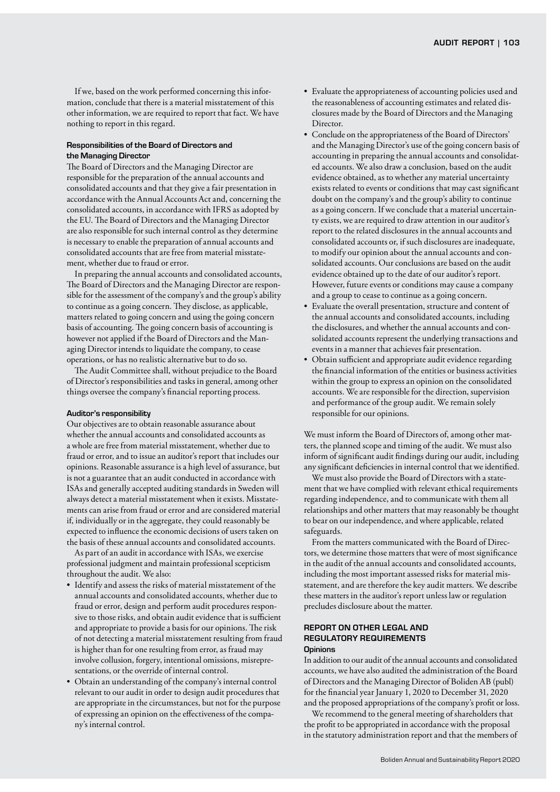If we, based on the work performed concerning this information, conclude that there is a material misstatement of this other information, we are required to report that fact. We have nothing to report in this regard.

# Responsibilities of the Board of Directors and the Managing Director

The Board of Directors and the Managing Director are responsible for the preparation of the annual accounts and consolidated accounts and that they give a fair presentation in accordance with the Annual Accounts Act and, concerning the consolidated accounts, in accordance with IFRS as adopted by the EU. The Board of Directors and the Managing Director are also responsible for such internal control as they determine is necessary to enable the preparation of annual accounts and consolidated accounts that are free from material misstatement, whether due to fraud or error.

In preparing the annual accounts and consolidated accounts, The Board of Directors and the Managing Director are responsible for the assessment of the company's and the group's ability to continue as a going concern. They disclose, as applicable, matters related to going concern and using the going concern basis of accounting. The going concern basis of accounting is however not applied if the Board of Directors and the Managing Director intends to liquidate the company, to cease operations, or has no realistic alternative but to do so.

The Audit Committee shall, without prejudice to the Board of Director's responsibilities and tasks in general, among other things oversee the company's financial reporting process.

### Auditor's responsibility

Our objectives are to obtain reasonable assurance about whether the annual accounts and consolidated accounts as a whole are free from material misstatement, whether due to fraud or error, and to issue an auditor's report that includes our opinions. Reasonable assurance is a high level of assurance, but is not a guarantee that an audit conducted in accordance with ISAs and generally accepted auditing standards in Sweden will always detect a material misstatement when it exists. Misstatements can arise from fraud or error and are considered material if, individually or in the aggregate, they could reasonably be expected to influence the economic decisions of users taken on the basis of these annual accounts and consolidated accounts.

As part of an audit in accordance with ISAs, we exercise professional judgment and maintain professional scepticism throughout the audit. We also:

- Identify and assess the risks of material misstatement of the annual accounts and consolidated accounts, whether due to fraud or error, design and perform audit procedures responsive to those risks, and obtain audit evidence that is sufficient and appropriate to provide a basis for our opinions. The risk of not detecting a material misstatement resulting from fraud is higher than for one resulting from error, as fraud may involve collusion, forgery, intentional omissions, misrepresentations, or the override of internal control.
- Obtain an understanding of the company's internal control relevant to our audit in order to design audit procedures that are appropriate in the circumstances, but not for the purpose of expressing an opinion on the effectiveness of the company's internal control.
- Evaluate the appropriateness of accounting policies used and the reasonableness of accounting estimates and related disclosures made by the Board of Directors and the Managing Director.
- Conclude on the appropriateness of the Board of Directors' and the Managing Director's use of the going concern basis of accounting in preparing the annual accounts and consolidated accounts. We also draw a conclusion, based on the audit evidence obtained, as to whether any material uncertainty exists related to events or conditions that may cast significant doubt on the company's and the group's ability to continue as a going concern. If we conclude that a material uncertainty exists, we are required to draw attention in our auditor's report to the related disclosures in the annual accounts and consolidated accounts or, if such disclosures are inadequate, to modify our opinion about the annual accounts and consolidated accounts. Our conclusions are based on the audit evidence obtained up to the date of our auditor's report. However, future events or conditions may cause a company and a group to cease to continue as a going concern.
- Evaluate the overall presentation, structure and content of the annual accounts and consolidated accounts, including the disclosures, and whether the annual accounts and consolidated accounts represent the underlying transactions and events in a manner that achieves fair presentation.
- Obtain sufficient and appropriate audit evidence regarding the financial information of the entities or business activities within the group to express an opinion on the consolidated accounts. We are responsible for the direction, supervision and performance of the group audit. We remain solely responsible for our opinions.

We must inform the Board of Directors of, among other matters, the planned scope and timing of the audit. We must also inform of significant audit findings during our audit, including any significant deficiencies in internal control that we identified.

We must also provide the Board of Directors with a statement that we have complied with relevant ethical requirements regarding independence, and to communicate with them all relationships and other matters that may reasonably be thought to bear on our independence, and where applicable, related safeguards.

From the matters communicated with the Board of Directors, we determine those matters that were of most significance in the audit of the annual accounts and consolidated accounts, including the most important assessed risks for material misstatement, and are therefore the key audit matters. We describe these matters in the auditor's report unless law or regulation precludes disclosure about the matter.

## REPORT ON OTHER LEGAL AND REGULATORY REQUIREMENTS **Opinions**

In addition to our audit of the annual accounts and consolidated accounts, we have also audited the administration of the Board of Directors and the Managing Director of Boliden AB (publ) for the financial year January 1, 2020 to December 31, 2020 and the proposed appropriations of the company's profit or loss.

We recommend to the general meeting of shareholders that the profit to be appropriated in accordance with the proposal in the statutory administration report and that the members of